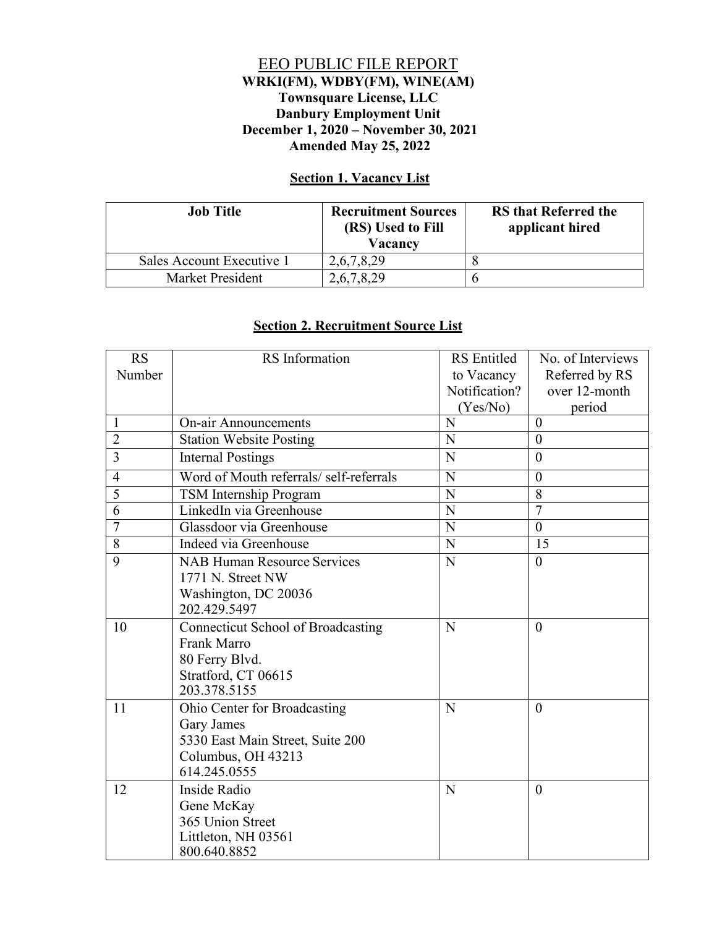## EEO PUBLIC FILE REPORT **WRKI(FM), WDBY(FM), WINE(AM) Townsquare License, LLC Danbury Employment Unit December 1, 2020 – November 30, 2021 Amended May 25, 2022**

## **Section 1. Vacancy List**

| <b>Job</b> Title          | <b>Recruitment Sources</b><br>(RS) Used to Fill<br>Vacancy | <b>RS</b> that Referred the<br>applicant hired |
|---------------------------|------------------------------------------------------------|------------------------------------------------|
| Sales Account Executive 1 | 2,6,7,8,29                                                 |                                                |
| Market President          | 2,6,7,8,29                                                 |                                                |

## **Section 2. Recruitment Source List**

| <b>RS</b>      | RS Information                            | <b>RS</b> Entitled          | No. of Interviews               |
|----------------|-------------------------------------------|-----------------------------|---------------------------------|
| Number         |                                           | to Vacancy<br>Notification? | Referred by RS<br>over 12-month |
|                |                                           | (Yes/No)                    |                                 |
| 1              | <b>On-air Announcements</b>               | N                           | period<br>$\theta$              |
| $\overline{2}$ |                                           | N                           | $\theta$                        |
|                | <b>Station Website Posting</b>            |                             |                                 |
| 3              | <b>Internal Postings</b>                  | N                           | $\overline{0}$                  |
| $\overline{4}$ | Word of Mouth referrals/ self-referrals   | N                           | $\overline{0}$                  |
| $\overline{5}$ | TSM Internship Program                    | N                           | 8                               |
| 6              | LinkedIn via Greenhouse                   | $\overline{\text{N}}$       | $\overline{7}$                  |
| $\overline{7}$ | Glassdoor via Greenhouse                  | N                           | $\theta$                        |
| $\overline{8}$ | Indeed via Greenhouse                     | N                           | 15                              |
| 9              | <b>NAB Human Resource Services</b>        | N                           | $\theta$                        |
|                | 1771 N. Street NW                         |                             |                                 |
|                | Washington, DC 20036<br>202.429.5497      |                             |                                 |
| 10             | <b>Connecticut School of Broadcasting</b> | N                           | $\theta$                        |
|                | Frank Marro                               |                             |                                 |
|                | 80 Ferry Blvd.                            |                             |                                 |
|                | Stratford, CT 06615                       |                             |                                 |
|                | 203.378.5155                              |                             |                                 |
| 11             | Ohio Center for Broadcasting              | N                           | $\theta$                        |
|                | <b>Gary James</b>                         |                             |                                 |
|                | 5330 East Main Street, Suite 200          |                             |                                 |
|                | Columbus, OH 43213                        |                             |                                 |
|                | 614.245.0555                              |                             |                                 |
| 12             | Inside Radio                              | N                           | $\theta$                        |
|                | Gene McKay                                |                             |                                 |
|                | 365 Union Street                          |                             |                                 |
|                | Littleton, NH 03561                       |                             |                                 |
|                | 800.640.8852                              |                             |                                 |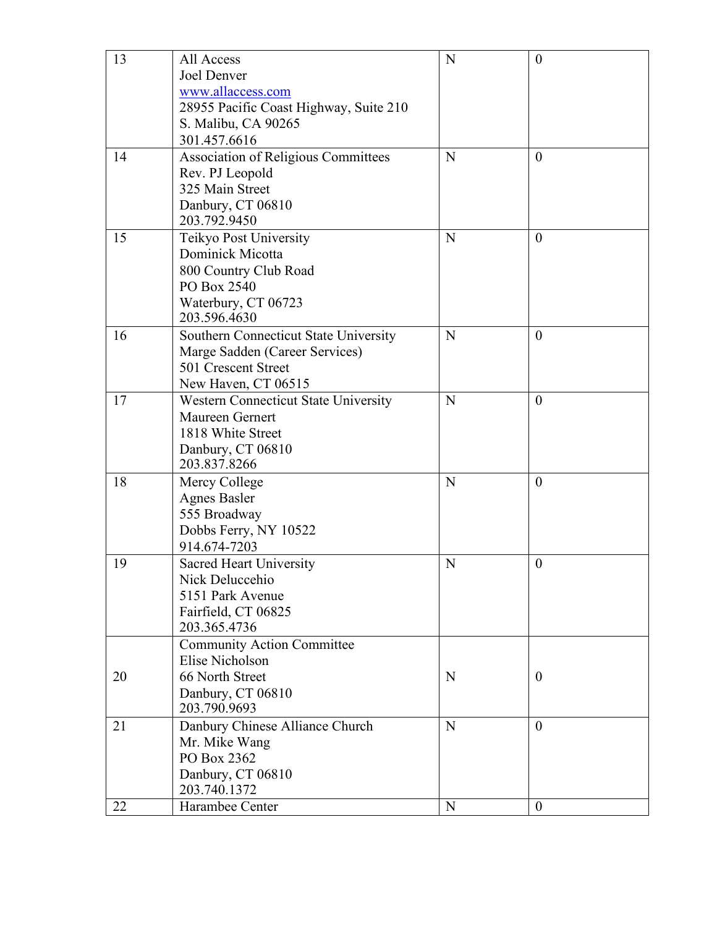| 13 | All Access<br>Joel Denver<br>www.allaccess.com<br>28955 Pacific Coast Highway, Suite 210<br>S. Malibu, CA 90265<br>301.457.6616 | N | $\boldsymbol{0}$ |
|----|---------------------------------------------------------------------------------------------------------------------------------|---|------------------|
| 14 | <b>Association of Religious Committees</b><br>Rev. PJ Leopold<br>325 Main Street<br>Danbury, CT 06810<br>203.792.9450           | N | $\overline{0}$   |
| 15 | Teikyo Post University<br>Dominick Micotta<br>800 Country Club Road<br>PO Box 2540<br>Waterbury, CT 06723<br>203.596.4630       | N | $\overline{0}$   |
| 16 | Southern Connecticut State University<br>Marge Sadden (Career Services)<br>501 Crescent Street<br>New Haven, CT 06515           | N | $\overline{0}$   |
| 17 | Western Connecticut State University<br>Maureen Gernert<br>1818 White Street<br>Danbury, CT 06810<br>203.837.8266               | N | $\overline{0}$   |
| 18 | Mercy College<br><b>Agnes Basler</b><br>555 Broadway<br>Dobbs Ferry, NY 10522<br>914.674-7203                                   | N | $\theta$         |
| 19 | <b>Sacred Heart University</b><br>Nick Deluccehio<br>5151 Park Avenue<br>Fairfield, CT 06825<br>203.365.4736                    | N | $\boldsymbol{0}$ |
| 20 | <b>Community Action Committee</b><br>Elise Nicholson<br>66 North Street<br>Danbury, CT 06810<br>203.790.9693                    | N | $\theta$         |
| 21 | Danbury Chinese Alliance Church<br>Mr. Mike Wang<br>PO Box 2362<br>Danbury, CT 06810<br>203.740.1372                            | N | $\theta$         |
| 22 | Harambee Center                                                                                                                 | N | $\overline{0}$   |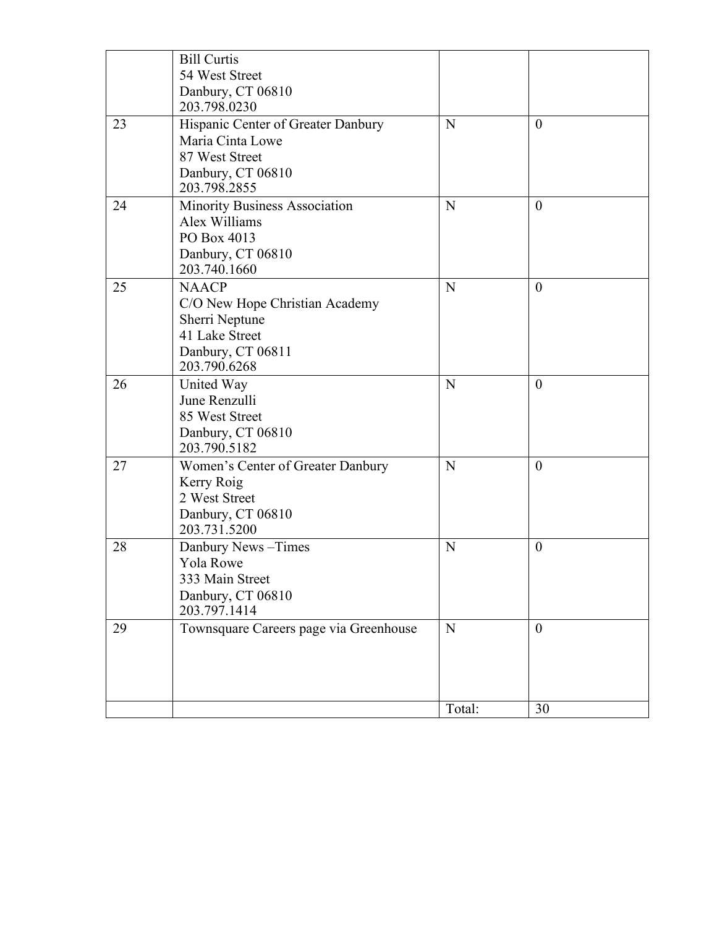|    | <b>Bill Curtis</b><br>54 West Street<br>Danbury, CT 06810                                                                               |        |                  |
|----|-----------------------------------------------------------------------------------------------------------------------------------------|--------|------------------|
| 23 | 203.798.0230<br>Hispanic Center of Greater Danbury<br>Maria Cinta Lowe<br>87 West Street<br>Danbury, CT 06810                           | N      | $\mathbf{0}$     |
| 24 | 203.798.2855<br>Minority Business Association<br>Alex Williams<br>PO Box 4013<br>Danbury, CT 06810                                      | N      | $\boldsymbol{0}$ |
| 25 | 203.740.1660<br><b>NAACP</b><br>C/O New Hope Christian Academy<br>Sherri Neptune<br>41 Lake Street<br>Danbury, CT 06811<br>203.790.6268 | N      | $\overline{0}$   |
| 26 | United Way<br>June Renzulli<br>85 West Street<br>Danbury, CT 06810<br>203.790.5182                                                      | N      | $\boldsymbol{0}$ |
| 27 | Women's Center of Greater Danbury<br>Kerry Roig<br>2 West Street<br>Danbury, CT 06810<br>203.731.5200                                   | N      | $\boldsymbol{0}$ |
| 28 | Danbury News-Times<br>Yola Rowe<br>333 Main Street<br>Danbury, CT 06810<br>203.797.1414                                                 | N      | $\boldsymbol{0}$ |
| 29 | Townsquare Careers page via Greenhouse                                                                                                  | N      | $\mathbf{0}$     |
|    |                                                                                                                                         | Total: | 30               |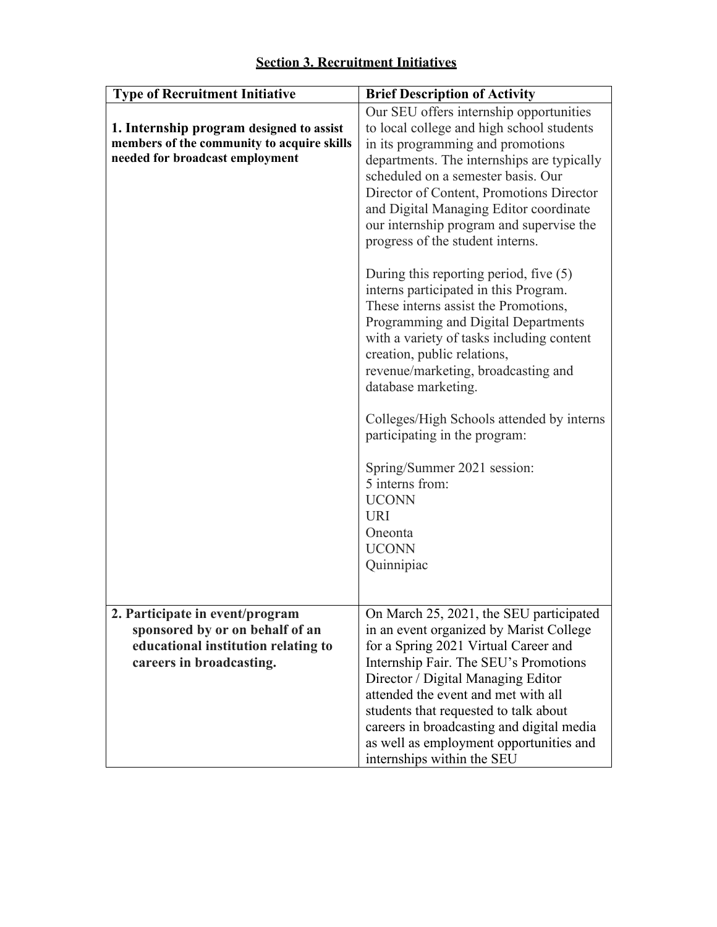| <b>Type of Recruitment Initiative</b>                                                                                                 | <b>Brief Description of Activity</b>                                                                                                                                                                                                                                                                                                                                                                            |
|---------------------------------------------------------------------------------------------------------------------------------------|-----------------------------------------------------------------------------------------------------------------------------------------------------------------------------------------------------------------------------------------------------------------------------------------------------------------------------------------------------------------------------------------------------------------|
| 1. Internship program designed to assist<br>members of the community to acquire skills<br>needed for broadcast employment             | Our SEU offers internship opportunities<br>to local college and high school students<br>in its programming and promotions<br>departments. The internships are typically<br>scheduled on a semester basis. Our<br>Director of Content, Promotions Director<br>and Digital Managing Editor coordinate<br>our internship program and supervise the<br>progress of the student interns.                             |
|                                                                                                                                       | During this reporting period, five $(5)$<br>interns participated in this Program.<br>These interns assist the Promotions,<br>Programming and Digital Departments<br>with a variety of tasks including content<br>creation, public relations,<br>revenue/marketing, broadcasting and<br>database marketing.                                                                                                      |
|                                                                                                                                       | Colleges/High Schools attended by interns<br>participating in the program:<br>Spring/Summer 2021 session:<br>5 interns from:<br><b>UCONN</b><br><b>URI</b><br>Oneonta<br><b>UCONN</b><br>Quinnipiac                                                                                                                                                                                                             |
| 2. Participate in event/program<br>sponsored by or on behalf of an<br>educational institution relating to<br>careers in broadcasting. | On March 25, 2021, the SEU participated<br>in an event organized by Marist College<br>for a Spring 2021 Virtual Career and<br>Internship Fair. The SEU's Promotions<br>Director / Digital Managing Editor<br>attended the event and met with all<br>students that requested to talk about<br>careers in broadcasting and digital media<br>as well as employment opportunities and<br>internships within the SEU |